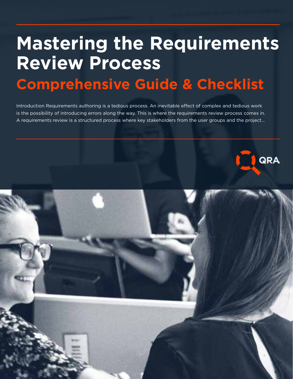# **Mastering the Requirements Review Process Comprehensive Guide & Checklist**

Introduction Requirements authoring is a tedious process. An inevitable effect of complex and tedious work is the possibility of introducing errors along the way. This is where the requirements review process comes in. A requirements review is a structured process where key stakeholders from the user groups and the project…

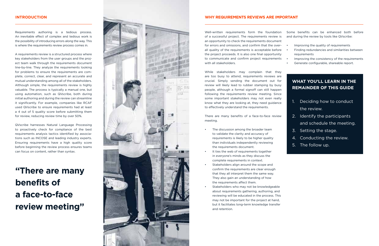#### **INTRODUCTION**

Requirements authoring is a tedious process. An inevitable effect of complex and tedious work is the possibility of introducing errors along the way. This is where the requirements review process comes in.

A requirements review is a structured process where key stakeholders from the user groups and the proj ect team walk through the requirements document line-by-line. They analyze the requirements looking for problems to ensure the requirements are complete, correct, clear, and represent an accurate and mutual understanding among all of the stakeholders. Although simple, the requirements review is highly valuable. The process is typically a manual one, but using automation, such as QVscribe, both during initial authoring and during the review can streamline it significantly. For example, companies like RCAF used QVscribe to ensure requirements had at least a 4 out of 5 quality score before submitting them for review, reducing review time by over 50%.

QVscribe harnesses Natural Language Processing to proactively check for compliance of the best requirements analysis tactics identified by associa tions such as INCOSE and leading industry experts. Ensuring requirements have a high quality score before beginning the review process ensures teams can focus on content, rather than syntax.

## **"There are many benefits of a face-to-face review meeting"**



#### **WHY REQUIREMENTS REVIEWS ARE IMPORTANT**

Well-written requirements form the foundation of a successful project. The requirements review is an opportunity to check the requirements document for errors and omissions, and confirm that the over all quality of the requirements is acceptable before the project proceeds. It is also one final opportunity to communicate and confirm project requirements with all stakeholders.

While stakeholders may complain that they are too busy to attend, requirements reviews are crucial. Simply sending the document out for review will likely lead to rubber stamping by busy people, although a formal signoff can still happen following the requirements review meeting. Since some important stakeholders may not even really know what they are looking at, they need guidance to effectively understand the requirements.

There are many benefits of a face-to-face review meeting.

- The discussion among the broader team to validate the clarity and accuracy of requirements is likely to be higher quality than individuals independently reviewing the requirements document.
- It ties the web of requirements together in everyone's minds as they discuss the complete requirements in context.
- Stakeholders align around the scope and confirm the requirements are clear enough that they all interpret them the same way. They also gain an understanding of how the requirements affect them.
- Stakeholders who may not be knowledgeable about requirements gathering, authoring, and reviewing will be educated in the process. This may not be important for the project at hand, but it facilitates long-term knowledge transfer and retention.

Some benefits can be enhanced both before and during the review by tools like QVscribe:

- Improving the quality of requirements
- Finding redundancies and similarities between requirements
- Improving the consistency of the requirements
- Generate configurable, shareable report.

## **WHAT YOU'LL LEARN IN THE REMAINDER OF THIS GUIDE**

- 1. Deciding how to conduct the review.
- 2. Identify the participants and schedule the meeting.
- 3. Setting the stage.
- 4. Conducting the review.
- 5. The follow up.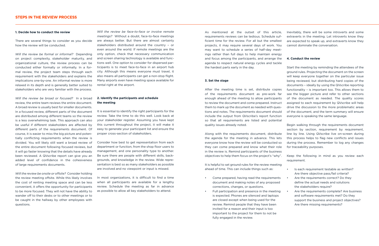#### **1. Decide how to conduct the review**

There are several things to consider as you decide how the review will be conducted.

*Will the review be formal or informal?* Depending on project complexity, stakeholder maturity, and organizational culture, the review process can be conducted either formally or informally. In a formal review, the project team steps through each requirement with the stakeholders and explains the implications one-by-one. An informal review is more relaxed in its depth and is generally better suited to stakeholders who are very familiar with the process.

*Will the review be broad or focused?* In a broad review, the entire team reviews the entire document. A broad review is usually best for smaller documents. In a focused review, different parts of the document are distributed among different teams so the review is a less overwhelming task. This approach can also be useful if different stakeholders are affected by different parts of the requirements document. Of course, it is easier to miss the big picture and potentially conflicting requirements when the review is divided. You will likely still want a broad review of the entire document following focused reviews, but it will go faster knowing that the details have already been reviewed. A QVscribe report can give you an added level of confidence in the cohesiveness of large requirements documents.

*Will the review be onsite or offsite?* Consider holding the review meeting offsite. While this likely involves the cost of renting meeting space and can be less convenient, it offers the opportunity for participants to be more focused. They will not have the ability to wander off to their desks or to other meetings or to be caught in the hallway by other employees with questions.

*Will the review be face-to-face or involve remote meetings?* Without a doubt, face-to-face meetings are always better. But there are almost certainly stakeholders distributed around the country – or even around the world. If remote meetings are the only option, check that necessary communication and screen sharing technology is available and functions well. One option to consider for dispersed participants is to meet face-to-face in an airport hub city. Although this means everyone must travel, it also means all participants can get a non-stop flight. Many airports even have meeting space available for rental right at the airport.

#### **2. Identify the participants and schedule the meeting**

It is essential to identify the right participants for the review. Take the time to do this well. Look back at your stakeholder register. Assuming you have kept this current throughout the project, it will make it easy to generate your participant list and ensure the proper cross-section of stakeholders.

Consider how best to get representation from each department or function, from the shop floor users to management, and one personality type to another. Be sure there are people with different skills, backgrounds, and knowledge in the review. Wide representation is best so as many stakeholders as possible are involved and no viewpoint or input is missed.

In most organizations, it is difficult to find a time when all participants are available for a lengthy review. Schedule the meeting as far in advance as possible to allow all key stakeholders to attend.

As mentioned at the outset of this article, requirements reviews can be tedious. Schedule sufficient time for the review. For all but the smallest projects, it may require several days of work. You may want to schedule a series of half-day meetings rather than full days to help maintain energy and focus among the participants, and arrange the agenda to respect natural energy cycles and tackle the hardest parts early in the day.

#### **3. Set the stage**

After the meeting time is set, distribute copies of the requirements document as pre-work far enough ahead of the meeting to allow participants to review the document and come prepared. Instruct them to mark up the document as needed with questions and notes. The requirements document should include the output from QVscribe's report function so that all requirements are listed and potential quality issues already noted.

Along with the requirements document, distribute the agenda for the meeting in advance. This lets everyone know how the review will be conducted so they can come prepared and know what their role in the review is. Remind participants of the business objectives to help them focus on the project's "why".

It is helpful to set ground rules for the review meeting ahead of time. This can include things such as:

- Come prepared, having read the requirements document and making notes of any proposed corrections, changes, or questions.
- Full participation and presence in the meeting is expected. Phones are silenced and laptops are closed except when being used for the review. Remind people that they have been invited for a reason and their input is too important to the project for them to not be fully engaged in the review.

Inevitably, there will be some introverts and some extraverts in the meeting. Let introverts know they are expected to speak up, and extraverts know they cannot dominate the conversation.

#### **4. Conduct the review**

Start the meeting by reminding the attendees of the ground rules. Projecting the document on the screen will keep everyone together on the particular issue being reviewed, but distributing hard copies of the documents – ideally by using the QVscribe reporting functionality – is important too. This allows them to see the bigger picture and refer to other sections of the document as needed. The quality scores assigned to each requirement by QVscribe will help drive the discussion to the more problematic areas of the document, and the term summary will ensure everyone is speaking the same language.

Begin walking through the requirements document section by section, requirement by requirement, line by line. Using QVscribe live on-screen during this process helps to flag new conflicts and issues during the process. Remember to log any changes for traceability purposes.

Keep the following in mind as you review each requirement.

- Is each requirement testable as written? Are there objective pass/fail criteria?
- Are the requirements correct? Do they define the actual needs and solutions the stakeholders require?
- Are the requirements complete? Are business and software requirements met? Do they support the business and project objectives? Are there missing requirements?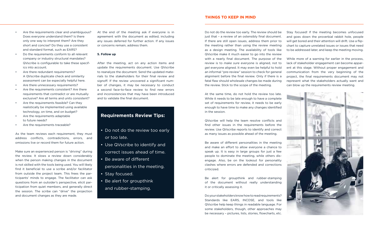- Are the requirements clear and unambiguous? Does everyone understand them? Is there only one way to interpret them? Are they short and concise? Do they use a consistent and standard format, such as EARS?
- Do the requirements conform to all relevant company or industry structural mandates? QVscribe is configurable to take these specifics into account.
- Are there redundant requirements? A QVscribe duplicate check and similarity assessment can be especially helpful here.
- Are there unnecessary requirements?
- Are the requirements consistent? Are there requirements that contradict or are mutually exclusive? Are all terms and units consistent?
- Are the requirements feasible? Can they realistically be implemented using available technology, on time, and on budget?
- Are the requirements adaptable to future needs?
- Are the requirements traceable?

As the team reviews each requirement, they must address conflicts, contradictions, errors, and omissions live or record them for future action.

Make sure an experienced person is "driving" during the review. It slows a review down considerably when the person making changes in the document is not skilled with the tools being used. You will likely find it beneficial to use a scribe and/or facilitator from outside the project team. This frees the participants' minds to engage. The facilitator can ask questions from an outsider's perspective, elicit participation from quiet members, and generally direct the session. The scribe can "drive" the projection and document changes as they are made.

At the end of the meeting ask if everyone is in agreement with the document as edited, including any issues deferred for further action. If any issues or concerns remain, address them.

#### **5. Follow up**

After the meeting, act on any action items and update the requirements document. Use QVscribe to reanalyze the document. Send the updated materials to the stakeholders for their final review and signoff. If the review uncovered a significant number of changes, it may be necessary to conduct a second face-to-face review to find new errors and inconsistencies that may have been introduced and to validate the final document.

## **Requirements Review Tips:**

- Do not do the review too early or too late.
- Use QVscribe to identify and correct issues ahead of time.
- Be aware of different
- personalities in the meeting. • Stay focused.
- Be alert for groupthink
- and rubber-stamping.

### **THINGS TO KEEP IN MIND**

Do not do the review too early. The review should be just that – a review of an ostensibly final document. If there are still open issues, address them prior to the meeting rather than using the review meeting as a design meeting. The availability of tools like QVscribe make it much easier to go into the review with a nearly final document. The purpose of the review is to *make sure* everyone is aligned, not to *get* everyone aligned. It may even be helpful to hold an informal "pre-review" session to check for general alignment before the final review. Only if there is a fatal flaw should wholesale changes be made during the review. Stick to the scope of the meeting.

At the same time, do not hold the review too late. While it needs to be late enough to have a complete set of requirements for review, it needs to be early enough to have time to make any changes identified in the session.

QVscribe will help the team resolve conflicts and find other issues in the requirements before the review. Use QVscribe reports to identify and correct as many issues as possible ahead of the meeting.

Be aware of different personalities in the meeting and make an effort to allow everyone a chance to speak up. It is easy in large groups for just a few people to dominate the meeting, while others disengage. Also, be on the lookout for personality clashes where errors are defended and corrections criticized.

Be alert for groupthink and rubber-stamping of the document without really understanding it or critically assessing it.

Do your stakeholders know how to read requirements? Standards like EARS, INCOSE, and tools like QVscribe help keep things in readable language. For some stakeholders, though, other approaches may be necessary – pictures, lists, stories, flowcharts, etc. Stay focused! If the meeting becomes unfocused and goes down the proverbial rabbit hole, people will get bored and their attention will drift. Use a flipchart to capture unrelated issues or issues that need to be addressed later, and keep the meeting moving.

While more of a warning for earlier in the process, lack of stakeholder engagement can become apparent at this stage. Without proper engagement and communication from the very beginning of the project, the final requirements document may not represent what the stakeholders actually want and can blow up the requirements review meeting.